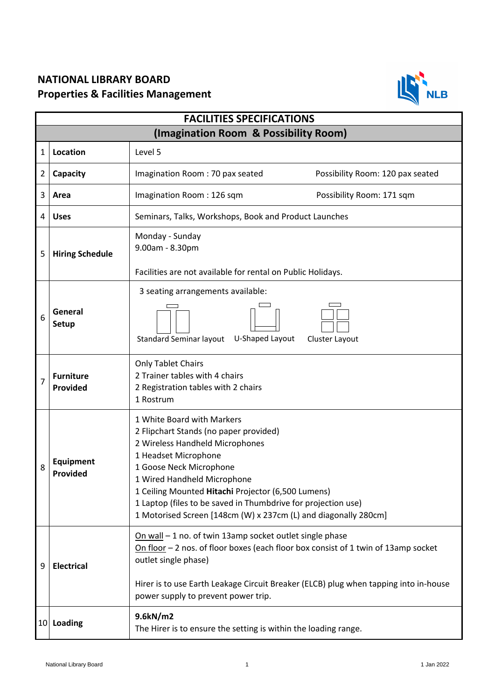## **NATIONAL LIBRARY BOARD Properties & Facilities Management**



| <b>FACILITIES SPECIFICATIONS</b>      |                              |                                                                                                                                                                                                                                                                                                                                                                                     |                                  |  |
|---------------------------------------|------------------------------|-------------------------------------------------------------------------------------------------------------------------------------------------------------------------------------------------------------------------------------------------------------------------------------------------------------------------------------------------------------------------------------|----------------------------------|--|
| (Imagination Room & Possibility Room) |                              |                                                                                                                                                                                                                                                                                                                                                                                     |                                  |  |
| 1                                     | Location                     | Level 5                                                                                                                                                                                                                                                                                                                                                                             |                                  |  |
| $\overline{2}$                        | Capacity                     | Imagination Room: 70 pax seated                                                                                                                                                                                                                                                                                                                                                     | Possibility Room: 120 pax seated |  |
| 3                                     | Area                         | Imagination Room: 126 sqm                                                                                                                                                                                                                                                                                                                                                           | Possibility Room: 171 sqm        |  |
| 4                                     | <b>Uses</b>                  | Seminars, Talks, Workshops, Book and Product Launches                                                                                                                                                                                                                                                                                                                               |                                  |  |
| 5                                     | <b>Hiring Schedule</b>       | Monday - Sunday<br>9.00am - 8.30pm<br>Facilities are not available for rental on Public Holidays.                                                                                                                                                                                                                                                                                   |                                  |  |
| 6                                     | General<br><b>Setup</b>      | 3 seating arrangements available:<br>U-Shaped Layout<br><b>Standard Seminar layout</b><br>Cluster Layout                                                                                                                                                                                                                                                                            |                                  |  |
| 7                                     | <b>Furniture</b><br>Provided | <b>Only Tablet Chairs</b><br>2 Trainer tables with 4 chairs<br>2 Registration tables with 2 chairs<br>1 Rostrum                                                                                                                                                                                                                                                                     |                                  |  |
| 8                                     | <b>Equipment</b><br>Provided | 1 White Board with Markers<br>2 Flipchart Stands (no paper provided)<br>2 Wireless Handheld Microphones<br>1 Headset Microphone<br>1 Goose Neck Microphone<br>1 Wired Handheld Microphone<br>1 Ceiling Mounted Hitachi Projector (6,500 Lumens)<br>1 Laptop (files to be saved in Thumbdrive for projection use)<br>1 Motorised Screen [148cm (W) x 237cm (L) and diagonally 280cm] |                                  |  |
| 9                                     | <b>Electrical</b>            | On wall - 1 no. of twin 13amp socket outlet single phase<br>On floor $-2$ nos. of floor boxes (each floor box consist of 1 twin of 13amp socket<br>outlet single phase)<br>Hirer is to use Earth Leakage Circuit Breaker (ELCB) plug when tapping into in-house<br>power supply to prevent power trip.                                                                              |                                  |  |
| 10                                    | <b>Loading</b>               | 9.6kN/m2<br>The Hirer is to ensure the setting is within the loading range.                                                                                                                                                                                                                                                                                                         |                                  |  |